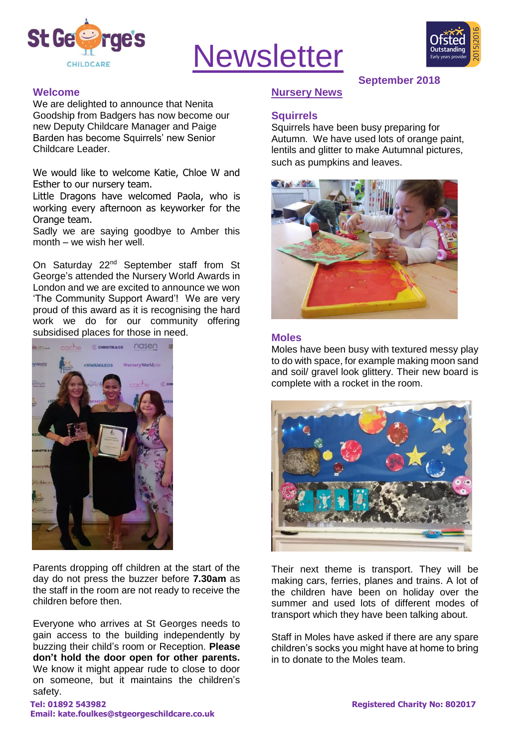

# **Newsletter**



#### **Welcome**

We are delighted to announce that Nenita Goodship from Badgers has now become our new Deputy Childcare Manager and Paige Barden has become Squirrels' new Senior Childcare Leader.

We would like to welcome Katie, Chloe W and Esther to our nursery team.

Little Dragons have welcomed Paola, who is working every afternoon as keyworker for the Orange team.

Sadly we are saying goodbye to Amber this month – we wish her well.

On Saturday 22nd September staff from St George's attended the Nursery World Awards in London and we are excited to announce we won 'The Community Support Award'! We are very proud of this award as it is recognising the hard work we do for our community offering subsidised places for those in need.



Parents dropping off children at the start of the day do not press the buzzer before **7.30am** as the staff in the room are not ready to receive the children before then.

Everyone who arrives at St Georges needs to gain access to the building independently by buzzing their child's room or Reception. **Please don't hold the door open for other parents.** We know it might appear rude to close to door on someone, but it maintains the children's safety.

#### **September 2018**

## **Nursery News**

#### **Squirrels**

Squirrels have been busy preparing for Autumn. We have used lots of orange paint, lentils and glitter to make Autumnal pictures, such as pumpkins and leaves.



#### **Moles**

Moles have been busy with textured messy play to do with space, for example making moon sand and soil/ gravel look glittery. Their new board is complete with a rocket in the room.



Their next theme is transport. They will be making cars, ferries, planes and trains. A lot of the children have been on holiday over the summer and used lots of different modes of transport which they have been talking about.

Staff in Moles have asked if there are any spare children's socks you might have at home to bring in to donate to the Moles team.